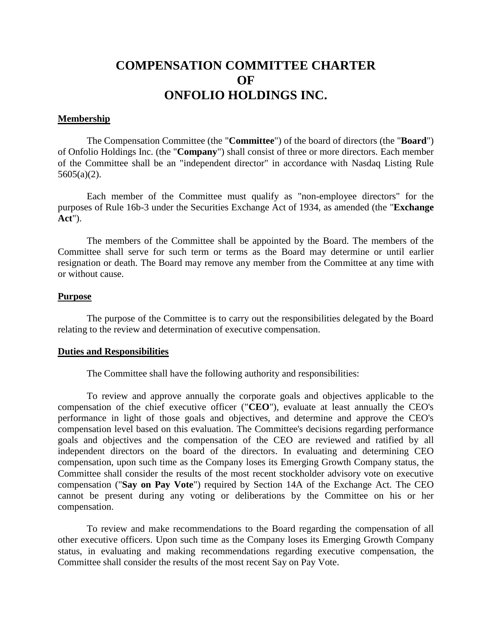# **COMPENSATION COMMITTEE CHARTER OF ONFOLIO HOLDINGS INC.**

## **Membership**

The Compensation Committee (the "**Committee**") of the board of directors (the "**Board**") of Onfolio Holdings Inc. (the "**Company**") shall consist of three or more directors. Each member of the Committee shall be an "independent director" in accordance with Nasdaq Listing Rule 5605(a)(2).

Each member of the Committee must qualify as "non-employee directors" for the purposes of Rule 16b-3 under the Securities Exchange Act of 1934, as amended (the "**Exchange Act**").

The members of the Committee shall be appointed by the Board. The members of the Committee shall serve for such term or terms as the Board may determine or until earlier resignation or death. The Board may remove any member from the Committee at any time with or without cause.

#### **Purpose**

The purpose of the Committee is to carry out the responsibilities delegated by the Board relating to the review and determination of executive compensation.

#### **Duties and Responsibilities**

The Committee shall have the following authority and responsibilities:

To review and approve annually the corporate goals and objectives applicable to the compensation of the chief executive officer ("**CEO**"), evaluate at least annually the CEO's performance in light of those goals and objectives, and determine and approve the CEO's compensation level based on this evaluation. The Committee's decisions regarding performance goals and objectives and the compensation of the CEO are reviewed and ratified by all independent directors on the board of the directors. In evaluating and determining CEO compensation, upon such time as the Company loses its Emerging Growth Company status, the Committee shall consider the results of the most recent stockholder advisory vote on executive compensation ("**Say on Pay Vote**") required by Section 14A of the Exchange Act. The CEO cannot be present during any voting or deliberations by the Committee on his or her compensation.

To review and make recommendations to the Board regarding the compensation of all other executive officers. Upon such time as the Company loses its Emerging Growth Company status, in evaluating and making recommendations regarding executive compensation, the Committee shall consider the results of the most recent Say on Pay Vote.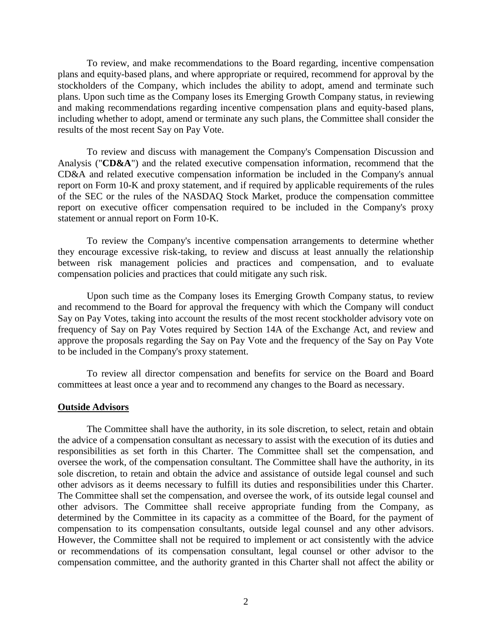To review, and make recommendations to the Board regarding, incentive compensation plans and equity-based plans, and where appropriate or required, recommend for approval by the stockholders of the Company, which includes the ability to adopt, amend and terminate such plans. Upon such time as the Company loses its Emerging Growth Company status, in reviewing and making recommendations regarding incentive compensation plans and equity-based plans, including whether to adopt, amend or terminate any such plans, the Committee shall consider the results of the most recent Say on Pay Vote.

To review and discuss with management the Company's Compensation Discussion and Analysis ("**CD&A**") and the related executive compensation information, recommend that the CD&A and related executive compensation information be included in the Company's annual report on Form 10-K and proxy statement, and if required by applicable requirements of the rules of the SEC or the rules of the NASDAQ Stock Market, produce the compensation committee report on executive officer compensation required to be included in the Company's proxy statement or annual report on Form 10-K.

To review the Company's incentive compensation arrangements to determine whether they encourage excessive risk-taking, to review and discuss at least annually the relationship between risk management policies and practices and compensation, and to evaluate compensation policies and practices that could mitigate any such risk.

Upon such time as the Company loses its Emerging Growth Company status, to review and recommend to the Board for approval the frequency with which the Company will conduct Say on Pay Votes, taking into account the results of the most recent stockholder advisory vote on frequency of Say on Pay Votes required by Section 14A of the Exchange Act, and review and approve the proposals regarding the Say on Pay Vote and the frequency of the Say on Pay Vote to be included in the Company's proxy statement.

To review all director compensation and benefits for service on the Board and Board committees at least once a year and to recommend any changes to the Board as necessary.

#### **Outside Advisors**

The Committee shall have the authority, in its sole discretion, to select, retain and obtain the advice of a compensation consultant as necessary to assist with the execution of its duties and responsibilities as set forth in this Charter. The Committee shall set the compensation, and oversee the work, of the compensation consultant. The Committee shall have the authority, in its sole discretion, to retain and obtain the advice and assistance of outside legal counsel and such other advisors as it deems necessary to fulfill its duties and responsibilities under this Charter. The Committee shall set the compensation, and oversee the work, of its outside legal counsel and other advisors. The Committee shall receive appropriate funding from the Company, as determined by the Committee in its capacity as a committee of the Board, for the payment of compensation to its compensation consultants, outside legal counsel and any other advisors. However, the Committee shall not be required to implement or act consistently with the advice or recommendations of its compensation consultant, legal counsel or other advisor to the compensation committee, and the authority granted in this Charter shall not affect the ability or